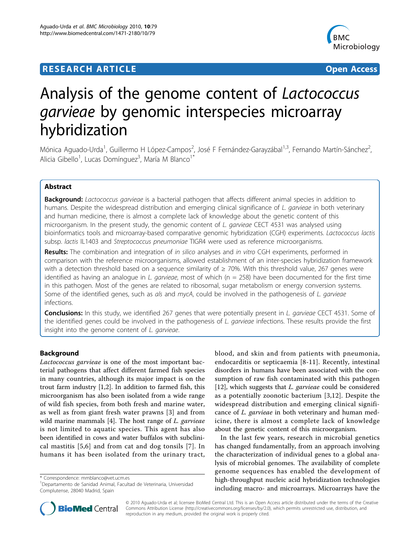# **RESEARCH ARTICLE Example 2018 12:30 The Contract of Contract ACCESS**



# Analysis of the genome content of Lactococcus garvieae by genomic interspecies microarray hybridization

Mónica Aguado-Urda<sup>1</sup>, Guillermo H López-Campos<sup>2</sup>, José F Fernández-Garayzábal<sup>1,3</sup>, Fernando Martín-Sánchez<sup>2</sup> , Alicia Gibello<sup>1</sup>, Lucas Domínguez<sup>3</sup>, María M Blanco<sup>1\*</sup>

# Abstract

**Background:** Lactococcus garvieae is a bacterial pathogen that affects different animal species in addition to humans. Despite the widespread distribution and emerging clinical significance of L. garvieae in both veterinary and human medicine, there is almost a complete lack of knowledge about the genetic content of this microorganism. In the present study, the genomic content of L. garvieae CECT 4531 was analysed using bioinformatics tools and microarray-based comparative genomic hybridization (CGH) experiments. Lactococcus lactis subsp. lactis IL1403 and Streptococcus pneumoniae TIGR4 were used as reference microorganisms.

Results: The combination and integration of in silico analyses and in vitro CGH experiments, performed in comparison with the reference microorganisms, allowed establishment of an inter-species hybridization framework with a detection threshold based on a sequence similarity of ≥ 70%. With this threshold value, 267 genes were identified as having an analogue in L. *garvieae*, most of which ( $n = 258$ ) have been documented for the first time in this pathogen. Most of the genes are related to ribosomal, sugar metabolism or energy conversion systems. Some of the identified genes, such as als and mycA, could be involved in the pathogenesis of L. garvieae infections.

Conclusions: In this study, we identified 267 genes that were potentially present in L. garvieae CECT 4531. Some of the identified genes could be involved in the pathogenesis of L. garvieae infections. These results provide the first insight into the genome content of L. garvieae.

# Background

Lactococcus garvieae is one of the most important bacterial pathogens that affect different farmed fish species in many countries, although its major impact is on the trout farm industry [[1,2\]](#page-6-0). In addition to farmed fish, this microorganism has also been isolated from a wide range of wild fish species, from both fresh and marine water, as well as from giant fresh water prawns [[3](#page-6-0)] and from wild marine mammals [\[4](#page-6-0)]. The host range of *L. garvieae* is not limited to aquatic species. This agent has also been identified in cows and water buffalos with subclinical mastitis [[5](#page-6-0),[6\]](#page-6-0) and from cat and dog tonsils [[7](#page-6-0)]. In humans it has been isolated from the urinary tract,

\* Correspondence: [mmblanco@vet.ucm.es](mailto:mmblanco@vet.ucm.es)

blood, and skin and from patients with pneumonia, endocarditis or septicaemia [\[8](#page-6-0)-[11](#page-6-0)]. Recently, intestinal disorders in humans have been associated with the consumption of raw fish contaminated with this pathogen [[12\]](#page-6-0), which suggests that *L. garvieae* could be considered as a potentially zoonotic bacterium [[3](#page-6-0),[12\]](#page-6-0). Despite the widespread distribution and emerging clinical significance of L. garvieae in both veterinary and human medicine, there is almost a complete lack of knowledge about the genetic content of this microorganism.

In the last few years, research in microbial genetics has changed fundamentally, from an approach involving the characterization of individual genes to a global analysis of microbial genomes. The availability of complete genome sequences has enabled the development of high-throughput nucleic acid hybridization technologies including macro- and microarrays. Microarrays have the



© 2010 Aguado-Urda et al; licensee BioMed Central Ltd. This is an Open Access article distributed under the terms of the Creative Commons Attribution License [\(http://creativecommons.org/licenses/by/2.0](http://creativecommons.org/licenses/by/2.0)), which permits unrestricted use, distribution, and reproduction in any medium, provided the original work is properly cited.

<sup>1</sup> Departamento de Sanidad Animal, Facultad de Veterinaria, Universidad Complutense, 28040 Madrid, Spain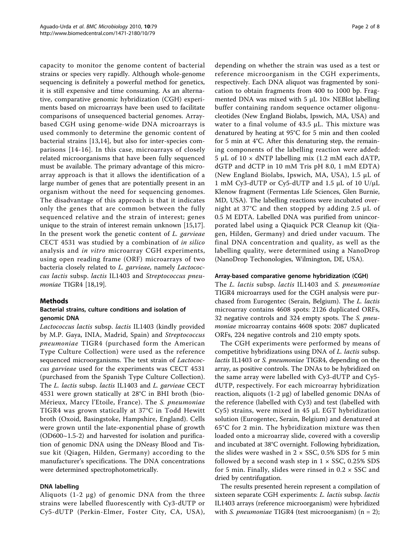capacity to monitor the genome content of bacterial strains or species very rapidly. Although whole-genome sequencing is definitely a powerful method for genetics, it is still expensive and time consuming. As an alternative, comparative genomic hybridization (CGH) experiments based on microarrays have been used to facilitate comparisons of unsequenced bacterial genomes. Arraybased CGH using genome-wide DNA microarrays is used commonly to determine the genomic content of bacterial strains [[13,14](#page-6-0)], but also for inter-species comparisons [[14](#page-6-0)-[16\]](#page-6-0). In this case, microarrays of closely related microorganisms that have been fully sequenced must be available. The primary advantage of this microarray approach is that it allows the identification of a large number of genes that are potentially present in an organism without the need for sequencing genomes. The disadvantage of this approach is that it indicates only the genes that are common between the fully sequenced relative and the strain of interest; genes unique to the strain of interest remain unknown [[15,17](#page-6-0)]. In the present work the genetic content of L. garvieae CECT 4531 was studied by a combination of in silico analysis and in vitro microarray CGH experiments, using open reading frame (ORF) microarrays of two bacteria closely related to L. garvieae, namely Lactococcus lactis subsp. lactis IL1403 and Streptococcus pneumoniae TIGR4 [\[18,19\]](#page-7-0).

# Methods

# Bacterial strains, culture conditions and isolation of genomic DNA

Lactococcus lactis subsp. lactis IL1403 (kindly provided by M.P. Gaya, INIA, Madrid, Spain) and Streptococcus pneumoniae TIGR4 (purchased form the American Type Culture Collection) were used as the reference sequenced microorganisms. The test strain of Lactococcus garvieae used for the experiments was CECT 4531 (purchased from the Spanish Type Culture Collection). The L. lactis subsp. lactis IL1403 and L. garvieae CECT 4531 were grown statically at 28°C in BHI broth (bio-Mérieux, Marcy l'Etoile, France). The S. pneumoniae TIGR4 was grown statically at 37°C in Todd Hewitt broth (Oxoid, Basingstoke, Hampshire, England). Cells were grown until the late-exponential phase of growth  $(OD600~1.5~2)$  and harvested for isolation and purification of genomic DNA using the DNeasy Blood and Tissue kit (Qiagen, Hilden, Germany) according to the manufacturer's specifications. The DNA concentrations were determined spectrophotometrically.

# DNA labelling

Aliquots  $(1-2 \mu g)$  of genomic DNA from the three strains were labelled fluorescently with Cy3-dUTP or Cy5-dUTP (Perkin-Elmer, Foster City, CA, USA),

depending on whether the strain was used as a test or reference microorganism in the CGH experiments, respectively. Each DNA aliquot was fragmented by sonication to obtain fragments from 400 to 1000 bp. Fragmented DNA was mixed with 5 μL 10× NEBlot labelling buffer containing random sequence octamer oligonucleotides (New England Biolabs, Ipswich, MA, USA) and water to a final volume of 43.5 μL. This mixture was denatured by heating at 95°C for 5 min and then cooled for 5 min at 4°C. After this denaturing step, the remaining components of the labelling reaction were added: 5 μL of 10  $\times$  dNTP labelling mix (1.2 mM each dATP, dGTP and dCTP in 10 mM Tris pH 8.0, 1 mM EDTA) (New England Biolabs, Ipswich, MA, USA), 1.5 μL of 1 mM Cy3-dUTP or Cy5-dUTP and 1.5 μL of 10 U/μL Klenow fragment (Fermentas Life Sciences, Glen Burnie, MD, USA). The labelling reactions were incubated overnight at 37°C and then stopped by adding 2.5 μL of 0.5 M EDTA. Labelled DNA was purified from unincorporated label using a Qiaquick PCR Cleanup kit (Qiagen, Hilden, Germany) and dried under vacuum. The final DNA concentration and quality, as well as the labelling quality, were determined using a NanoDrop (NanoDrop Techonologies, Wilmington, DE, USA).

#### Array-based comparative genome hybridization (CGH)

The L. lactis subsp. lactis IL1403 and S. pneumoniae TIGR4 microarrays used for the CGH analysis were purchased from Eurogentec (Serain, Belgium). The L. lactis microarray contains 4608 spots: 2126 duplicated ORFs, 32 negative controls and 324 empty spots. The S. pneumoniae microarray contains 4608 spots: 2087 duplicated ORFs, 224 negative controls and 210 empty spots.

The CGH experiments were performed by means of competitive hybridizations using DNA of L. lactis subsp. lactis IL1403 or S. pneumoniae TIGR4, depending on the array, as positive controls. The DNAs to be hybridized on the same array were labelled with Cy3-dUTP and Cy5 dUTP, respectively. For each microarray hybridization reaction, aliquots (1-2 μg) of labelled genomic DNAs of the reference (labelled with Cy3) and test (labelled with Cy5) strains, were mixed in 45 μL EGT hybridization solution (Eurogentec, Serain, Belgium) and denatured at 65°C for 2 min. The hybridization mixture was then loaded onto a microarray slide, covered with a coverslip and incubated at 38°C overnight. Following hybridization, the slides were washed in  $2 \times SSC$ , 0.5% SDS for 5 min followed by a second wash step in  $1 \times SSC$ , 0.25% SDS for 5 min. Finally, slides were rinsed in  $0.2 \times$  SSC and dried by centrifugation.

The results presented herein represent a compilation of sixteen separate CGH experiments: L. lactis subsp. lactis IL1403 arrays (reference microorganism) were hybridized with *S. pneumoniae* TIGR4 (test microorganism)  $(n = 2)$ ;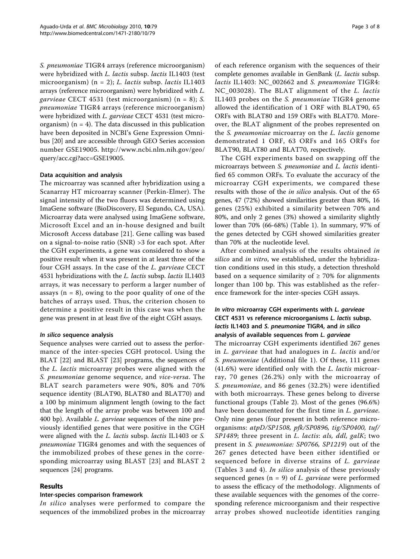S. pneumoniae TIGR4 arrays (reference microorganism) were hybridized with L. lactis subsp. lactis IL1403 (test microorganism) (n = 2); L. lactis subsp. lactis IL1403 arrays (reference microorganism) were hybridized with L. garvieae CECT 4531 (test microorganism) (n = 8); S. pneumoniae TIGR4 arrays (reference microorganism) were hybridized with L. garvieae CECT 4531 (test microorganism)  $(n = 4)$ . The data discussed in this publication have been deposited in NCBI's Gene Expression Omnibus [[20\]](#page-7-0) and are accessible through GEO Series accession number GSE19005. [http://www.ncbi.nlm.nih.gov/geo/](http://www.ncbi.nlm.nih.gov/geo/query/acc.cgi?acc=GSE19005) [query/acc.cgi?acc=GSE19005.](http://www.ncbi.nlm.nih.gov/geo/query/acc.cgi?acc=GSE19005)

#### Data acquisition and analysis

The microarray was scanned after hybridization using a Scanarray HT microarray scanner (Perkin-Elmer). The signal intensity of the two fluors was determined using ImaGene software (BioDiscovery, El Segundo, CA, USA). Microarray data were analysed using ImaGene software, Microsoft Excel and an in-house designed and built Microsoft Access database [[21\]](#page-7-0). Gene calling was based on a signal-to-noise ratio (SNR) >3 for each spot. After the CGH experiments, a gene was considered to show a positive result when it was present in at least three of the four CGH assays. In the case of the L. garvieae CECT 4531 hybridizations with the L. lactis subsp. lactis IL1403 arrays, it was necessary to perform a larger number of assays ( $n = 8$ ), owing to the poor quality of one of the batches of arrays used. Thus, the criterion chosen to determine a positive result in this case was when the gene was present in at least five of the eight CGH assays.

#### In silico sequence analysis

Sequence analyses were carried out to assess the performance of the inter-species CGH protocol. Using the BLAT [\[22](#page-7-0)] and BLAST [[23\]](#page-7-0) programs, the sequences of the L. lactis microarray probes were aligned with the S. pneumoniae genome sequence, and vice-versa. The BLAT search parameters were 90%, 80% and 70% sequence identity (BLAT90, BLAT80 and BLAT70) and a 100 bp minimum alignment length (owing to the fact that the length of the array probe was between 100 and 400 bp). Available L. garvieae sequences of the nine previously identified genes that were positive in the CGH were aligned with the L. lactis subsp. lactis IL1403 or S. pneumoniae TIGR4 genomes and with the sequences of the immobilized probes of these genes in the corresponding microarray using BLAST [[23\]](#page-7-0) and BLAST 2 sequences [[24\]](#page-7-0) programs.

#### Results

#### Inter-species comparison framework

In silico analyses were performed to compare the sequences of the immobilized probes in the microarray of each reference organism with the sequences of their complete genomes available in GenBank (L. lactis subsp. lactis IL1403: NC\_002662 and S. pneumoniae TIGR4: NC\_003028). The BLAT alignment of the L. lactis IL1403 probes on the S. pneumoniae TIGR4 genome allowed the identification of 1 ORF with BLAT90, 65 ORFs with BLAT80 and 159 ORFs with BLAT70. Moreover, the BLAT alignment of the probes represented on the S. pneumoniae microarray on the L. lactis genome demonstrated 1 ORF, 63 ORFs and 165 ORFs for BLAT90, BLAT80 and BLAT70, respectively.

The CGH experiments based on swapping off the microarrays between S. pneumoniae and L. lactis identified 65 common ORFs. To evaluate the accuracy of the microarray CGH experiments, we compared these results with those of the *in silico* analysis. Out of the 65 genes, 47 (72%) showed similarities greater than 80%, 16 genes (25%) exhibited a similarity between 70% and 80%, and only 2 genes (3%) showed a similarity slightly lower than 70% (66-68%) (Table [1\)](#page-3-0). In summary, 97% of the genes detected by CGH showed similarities greater than 70% at the nucleotide level.

After combined analysis of the results obtained in silico and in vitro, we established, under the hybridization conditions used in this study, a detection threshold based on a sequence similarity of  $\geq$  70% for alignments longer than 100 bp. This was established as the reference framework for the inter-species CGH assays.

# In vitro microarray CGH experiments with L. garvieae CECT 4531 vs reference microorganisms L. lactis subsp. lactis IL1403 and S. pneumoniae TIGR4, and in silico analysis of available sequences from L. garvieae

The microarray CGH experiments identified 267 genes in L. garvieae that had analogues in L. lactis and/or S. pneumoniae (Additional file [1\)](#page-6-0). Of these, 111 genes (41.6%) were identified only with the *L. lactis* microarray, 70 genes (26.2%) only with the microarray of S. pneumoniae, and 86 genes (32.2%) were identified with both microarrays. These genes belong to diverse functional groups (Table [2](#page-4-0)). Most of the genes (96.6%) have been documented for the first time in *L. garvieae*. Only nine genes (four present in both reference microorganisms: atpD/SP1508, pfk/SP0896, tig/SP0400, tuf/ SP1489; three present in L. lactis: als, ddl, galK; two present in S. pneumoniae: SP0766, SP1219) out of the 267 genes detected have been either identified or sequenced before in diverse strains of L. garvieae (Tables [3](#page-4-0) and [4](#page-5-0)). In silico analysis of these previously sequenced genes ( $n = 9$ ) of L. garvieae were performed to assess the efficacy of the methodology. Alignments of these available sequences with the genomes of the corresponding reference microorganism and their respective array probes showed nucleotide identities ranging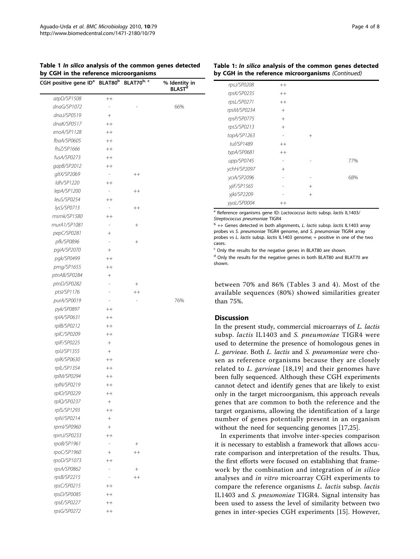<span id="page-3-0"></span>

|  | Table 1 In silico analysis of the common genes detected |  |
|--|---------------------------------------------------------|--|
|  | by CGH in the reference microorganisms                  |  |

| by CGH in the reference microorganisms                |                          |            |                                           |
|-------------------------------------------------------|--------------------------|------------|-------------------------------------------|
| CGH positive gene ID <sup>a</sup> BLAT80 <sup>b</sup> |                          | BLAT70b, c | % Identity in<br><b>BLAST<sup>d</sup></b> |
| atpD/SP1508                                           | $^{++}$                  |            |                                           |
| dnaG/SP1072                                           |                          |            | 66%                                       |
| dnaJ/SP0519                                           | $+$                      |            |                                           |
| dnaK/SP0517                                           | $^{++}$                  |            |                                           |
| enoA/SP1128                                           | $^{++}$                  |            |                                           |
| fbaA/SP0605                                           | $^{++}$                  |            |                                           |
| ftsZ/SP1666                                           | $^{++}$                  |            |                                           |
| fusA/SP0273                                           | $++$                     |            |                                           |
| gapB/SP2012                                           | $^{++}$                  |            |                                           |
| gltX/SP2069                                           | $\overline{\phantom{a}}$ | $^{++}$    |                                           |
| ldh/SP1220                                            | $^{++}$                  |            |                                           |
| lepA/SP1200                                           | $\overline{\phantom{a}}$ | $^{++}$    |                                           |
| leuS/SP0254                                           | $^{++}$                  |            |                                           |
| lysS/SP0713                                           | ÷,                       | $^{++}$    |                                           |
| msmk/SP1580                                           | $^{++}$                  |            |                                           |
| murA1/SP1081                                          |                          | $^{+}$     |                                           |
| pepC/SP0281                                           | $+$                      |            |                                           |
| pfk/SP0896                                            |                          | $^{+}$     |                                           |
| pgiA/SP2070                                           | $^{+}$                   |            |                                           |
| pgk/SP0499                                            | $^{++}$                  |            |                                           |
| pmg/SP1655                                            | $^{++}$                  |            |                                           |
| ptnAB/SP0284                                          | $^{+}$                   |            |                                           |
| ptnD/SP0282                                           |                          | $^{+}$     |                                           |
| ptsl/SP1176                                           |                          | $^{++}$    |                                           |
| purA/SP0019                                           |                          |            | 76%                                       |
| pyk/SP0897                                            | $^{++}$                  |            |                                           |
| rplA/SP0631                                           | $^{++}$                  |            |                                           |
| rplB/SP0212                                           | $^{++}$                  |            |                                           |
| rpIC/SP0209                                           | $^{++}$                  |            |                                           |
| rplF/SP0225                                           | $+$                      |            |                                           |
| rplJ/SP1355                                           | $+$                      |            |                                           |
| rplK/SP0630                                           | $^{++}$                  |            |                                           |
| rplL/SP1354                                           | $^{++}$                  |            |                                           |
| rplM/SP0294                                           | $^{++}$                  |            |                                           |
| rpIN/SP0219                                           | $^{++}$                  |            |                                           |
| rplO/SP0229                                           | $^{++}$                  |            |                                           |
| rplQ/SP0237                                           | $+$                      |            |                                           |
| rplS/SP1293                                           | $^{++}$                  |            |                                           |
| rplV/SP0214                                           | $+$                      |            |                                           |
| rpml/SP0960                                           | $+$                      |            |                                           |
| rpmJ/SP0233                                           | $^{++}$                  |            |                                           |
| rpoB/SP1961                                           | L,                       | $^{+}$     |                                           |
| rpoC/SP1960                                           | $+$                      | $^{++}$    |                                           |
| rpoD/SP1073                                           | $^{++}$                  |            |                                           |
| rpsA/SP0862                                           |                          | $^{+}$     |                                           |
| rpsB/SP2215                                           | L                        | $++$       |                                           |
| rpsC/SP0215                                           | $^{++}$                  |            |                                           |
| rpsD/SP0085                                           | $^{++}$                  |            |                                           |
| rpsE/SP0227                                           | $^{++}$                  |            |                                           |
| rpsG/SP0272                                           | $++$                     |            |                                           |
|                                                       |                          |            |                                           |

#### Table 1: In silico analysis of the common genes detected by CGH in the reference microorganisms (Continued)

| rpsJ/SP0208 | $++$   |        |     |
|-------------|--------|--------|-----|
| rpsK/SP0235 | $++$   |        |     |
| rpsL/SP0271 | $++$   |        |     |
| rpsM/SP0234 | $^{+}$ |        |     |
| rpsP/SP0775 | $^{+}$ |        |     |
| rpsS/SP0213 | $^{+}$ |        |     |
| topA/SP1263 |        | $^{+}$ |     |
| tuf/SP1489  | $++$   |        |     |
| typA/SP0681 | $++$   |        |     |
| upp/SP0745  |        |        | 77% |
| vchH/SP2097 | $^{+}$ |        |     |
| yciA/SP2096 |        |        | 68% |
| yjiF/SP1565 |        | $^{+}$ |     |
| yjkl/SP2209 |        | $^{+}$ |     |
| yyaL/SP0004 | $++$   |        |     |

<sup>a</sup> Reference organisms gene ID: Lactococcus lactis subsp. lactis IL1403/ Streptococcus pneumoniae TIGR4

 $<sup>b</sup>$  ++ Genes detected in both alignments, L. lactis subsp. lactis IL1403 array</sup> probes vs S. pneumoniae TIGR4 genome, and S. pneumoniae TIGR4 array probes vs L. lactis subsp. lactis IL1403 genome; + positive in one of the two cases.

<sup>c</sup> Only the results for the negative genes in BLAT80 are shown. <sup>d</sup> Only the results for the negative genes in both BLAT80 and BLAT70 are shown.

between 70% and 86% (Tables [3](#page-4-0) and [4\)](#page-5-0). Most of the available sequences (80%) showed similarities greater than 75%.

#### **Discussion**

In the present study, commercial microarrays of L. lactis subsp. lactis IL1403 and S. pneumoniae TIGR4 were used to determine the presence of homologous genes in L. garvieae. Both L. lactis and S. pneumoniae were chosen as reference organisms because they are closely related to L. garvieae [\[18,19\]](#page-7-0) and their genomes have been fully sequenced. Although these CGH experiments cannot detect and identify genes that are likely to exist only in the target microorganism, this approach reveals genes that are common to both the reference and the target organisms, allowing the identification of a large number of genes potentially present in an organism without the need for sequencing genomes [[17](#page-6-0)[,25](#page-7-0)].

In experiments that involve inter-species comparison it is necessary to establish a framework that allows accurate comparison and interpretation of the results. Thus, the first efforts were focused on establishing that framework by the combination and integration of in silico analyses and in vitro microarray CGH experiments to compare the reference organisms L. lactis subsp. lactis IL1403 and S. pneumoniae TIGR4. Signal intensity has been used to assess the level of similarity between two genes in inter-species CGH experiments [[15\]](#page-6-0). However,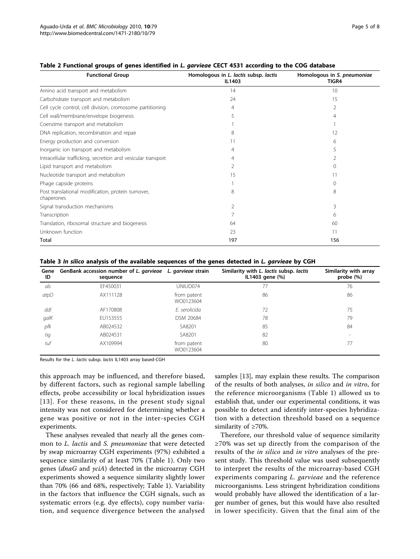| <b>Functional Group</b>                                          | Homologous in L. lactis subsp. lactis<br>IL1403 | Homologous in S. pneumoniae<br>TIGR4 |
|------------------------------------------------------------------|-------------------------------------------------|--------------------------------------|
| Amino acid transport and metabolism                              | 14                                              | 10                                   |
| Carbohidrate transport and metabolism                            | 24                                              | 15                                   |
| Cell cycle control, cell division, cromosome partitioning        | $\overline{4}$                                  | 2                                    |
| Cell wall/membrane/envelope biogenesis                           | 5                                               |                                      |
| Coenzime transport and metabolism                                |                                                 |                                      |
| DNA replication, recombination and repair                        | 8                                               | 12                                   |
| Energy production and conversion                                 | 11                                              | 6                                    |
| Inorganic ion transport and metabolism                           | 4                                               |                                      |
| Intracellular trafficking, secretion and vesicular transport     | 4                                               |                                      |
| Lipid transport and metabolism                                   | 2                                               |                                      |
| Nucleotide transport and metabolism                              | 15                                              |                                      |
| Phage capside proteins                                           |                                                 | 0                                    |
| Post translational modification, protein turnover,<br>chaperones | 8                                               | 8                                    |
| Signal transduction mechanisms                                   | 2                                               | 3                                    |
| Transcription                                                    |                                                 | 6                                    |
| Translation, ribosomal structure and biogenesis                  | 64                                              | 60                                   |
| Unknown function                                                 | 23                                              | 11                                   |
| Total                                                            | 197                                             | 156                                  |

#### <span id="page-4-0"></span>Table 2 Functional groups of genes identified in L. garvieae CECT 4531 according to the COG database

Table 3 In silico analysis of the available sequences of the genes detected in L. garvieae by CGH

| Gene<br>ID | GenBank accession number of L. garvieae L. garvieae strain<br>sequence |                          | Similarity with L. lactis subsp. lactis<br>IL1403 gene (%) | Similarity with array<br>probe $(\%)$ |
|------------|------------------------------------------------------------------------|--------------------------|------------------------------------------------------------|---------------------------------------|
| als        | EF450031                                                               | UNIUD074                 | 77                                                         | 76                                    |
| atpD       | AX111128                                                               | from patent<br>WO0123604 | 86                                                         | 86                                    |
| ddl        | AF170808                                                               | E. serolicida            | 72                                                         | 75                                    |
| galK       | EU153555                                                               | DSM 20684                | 78                                                         | 79                                    |
| pfk        | AB024532                                                               | SA8201                   | 85                                                         | 84                                    |
| tig        | AB024531                                                               | SA8201                   | 82                                                         | $\overline{\phantom{0}}$              |
| tuf        | AX109994                                                               | from patent<br>WO0123604 | 80                                                         | 77                                    |

Results for the L. lactis subsp. lactis IL1403 array based-CGH

this approach may be influenced, and therefore biased, by different factors, such as regional sample labelling effects, probe accessibility or local hybridization issues [[13](#page-6-0)]. For these reasons, in the present study signal intensity was not considered for determining whether a gene was positive or not in the inter-species CGH experiments.

These analyses revealed that nearly all the genes common to L. lactis and S. pneumoniae that were detected by swap microarray CGH experiments (97%) exhibited a sequence similarity of at least 70% (Table [1](#page-3-0)). Only two genes (dnaG and yciA) detected in the microarray CGH experiments showed a sequence similarity slightly lower than 70% (66 and 68%, respectively; Table [1\)](#page-3-0). Variability in the factors that influence the CGH signals, such as systematic errors (e.g. dye effects), copy number variation, and sequence divergence between the analysed samples [\[13](#page-6-0)], may explain these results. The comparison of the results of both analyses, in silico and in vitro, for the reference microorganisms (Table [1\)](#page-3-0) allowed us to establish that, under our experimental conditions, it was possible to detect and identify inter-species hybridization with a detection threshold based on a sequence similarity of ≥70%.

Therefore, our threshold value of sequence similarity ≥70% was set up directly from the comparison of the results of the in silico and in vitro analyses of the present study. This threshold value was used subsequently to interpret the results of the microarray-based CGH experiments comparing *L. garvieae* and the reference microorganisms. Less stringent hybridization conditions would probably have allowed the identification of a larger number of genes, but this would have also resulted in lower specificity. Given that the final aim of the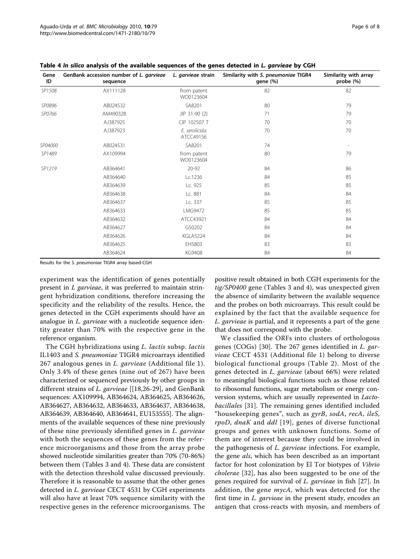| Gene<br>ID | GenBank accession number of L. garvieae<br>sequence | L. garvieae strain         | Similarity with S. pneumoniae TIGR4<br>gene (%) | Similarity with array<br>probe (%) |
|------------|-----------------------------------------------------|----------------------------|-------------------------------------------------|------------------------------------|
| SP1508     | AX111128                                            | from patent<br>WO0123604   | 82                                              | 82                                 |
| SP0896     | AB024532                                            | SA8201                     | 80                                              | 79                                 |
| SP0766     | AM490328                                            | JIP 31-90 (2)              | 71                                              | 79                                 |
|            | AJ387925                                            | CIP 102507 T               | 70                                              | 70                                 |
|            | AJ387923                                            | E. serolicida<br>ATCC49156 | 70                                              | 70                                 |
| SP04000    | AB024531                                            | SA8201                     | 74                                              | $\overline{\phantom{0}}$           |
| SP1489     | AX109994                                            | from patent<br>WO0123604   | 80                                              | 79                                 |
| SP1219     | AB364641                                            | 20-92                      | 84                                              | 86                                 |
|            | AB364640                                            | Lc.1236                    | 84                                              | 85                                 |
|            | AB364639                                            | Lc. 925                    | 85                                              | 85                                 |
|            | AB364638                                            | Lc. 881                    | 84                                              | 84                                 |
|            | AB364637                                            | Lc. 337                    | 85                                              | 85                                 |
|            | AB364633                                            | LMG9472                    | 85                                              | 85                                 |
|            | AB364632                                            | ATCC43921                  | 84                                              | 84                                 |
|            | AB364627                                            | G50202                     | 84                                              | 84                                 |
|            | AB364626                                            | KGLA5224                   | 84                                              | 84                                 |
|            | AB364625                                            | EH5803                     | 83                                              | 83                                 |
|            | AB364624                                            | <b>KG9408</b>              | 84                                              | 84                                 |

<span id="page-5-0"></span>Table 4 In silico analysis of the available sequences of the genes detected in L. garvieae by CGH

Results for the S. pneumoniae TIGR4 array based-CGH

experiment was the identification of genes potentially present in L garvieae, it was preferred to maintain stringent hybridization conditions, therefore increasing the specificity and the reliability of the results. Hence, the genes detected in the CGH experiments should have an analogue in *L. garvieae* with a nucleotide sequence identity greater than 70% with the respective gene in the reference organism.

The CGH hybridizations using L. lactis subsp. lactis IL1403 and S. pneumoniae TIGR4 microarrays identified 267 analogous genes in *L. garvieae* (Additional file [1\)](#page-6-0). Only 3.4% of these genes (nine out of 267) have been characterized or sequenced previously by other groups in different strains of L. garvieae [[\[18,26](#page-7-0)-[29](#page-7-0)], and GenBank sequences: AX109994, AB364624, AB364625, AB364626, AB364627, AB364632, AB364633, AB364637, AB364638, AB364639, AB364640, AB364641, EU153555]. The alignments of the available sequences of these nine previously of these nine previously identified genes in L. garvieae with both the sequences of these genes from the reference microorganisms and those from the array probe showed nucleotide similarities greater than 70% (70-86%) between them (Tables [3](#page-4-0) and 4). These data are consistent with the detection threshold value discussed previously. Therefore it is reasonable to assume that the other genes detected in L. garvieae CECT 4531 by CGH experiments will also have at least 70% sequence similarity with the respective genes in the reference microorganisms. The

positive result obtained in both CGH experiments for the tig/SP0400 gene (Tables [3](#page-4-0) and 4), was unexpected given the absence of similarity between the available sequence and the probes on both microarrays. This result could be explained by the fact that the available sequence for L. garvieae is partial, and it represents a part of the gene that does not correspond with the probe.

We classified the ORFs into clusters of orthologous genes (COGs) [[30\]](#page-7-0). The 267 genes identified in L. garvieae CECT 4531 (Additional file [1\)](#page-6-0) belong to diverse biological functional groups (Table [2\)](#page-4-0). Most of the genes detected in L. garvieae (about 66%) were related to meaningful biological functions such as those related to ribosomal functions, sugar metabolism or energy conversion systems, which are usually represented in Lactobacillales [\[31](#page-7-0)]. The remaining genes identified included "housekeeping genes", such as gyrB, sodA, recA, ileS, rpoD, dnaK and ddl [\[19\]](#page-7-0), genes of diverse functional groups and genes with unknown functions. Some of them are of interest because they could be involved in the pathogenesis of *L. garvieae* infections. For example, the gene *als*, which has been described as an important factor for host colonization by El Tor biotypes of Vibrio cholerae [\[32](#page-7-0)], has also been suggested to be one of the genes required for survival of *L. garvieae* in fish [\[27](#page-7-0)]. In addition, the gene  $mycA$ , which was detected for the first time in *L. garvieae* in the present study, encodes an antigen that cross-reacts with myosin, and members of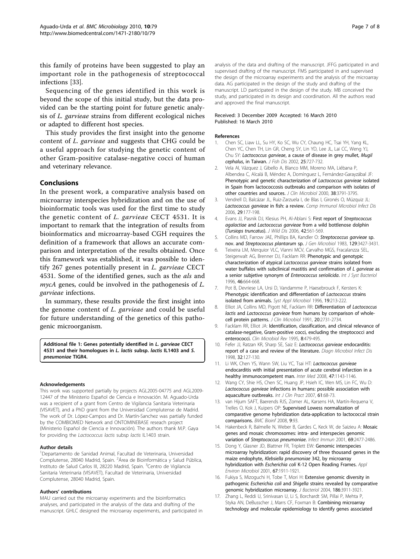<span id="page-6-0"></span>this family of proteins have been suggested to play an important role in the pathogenesis of streptococcal infections [[33](#page-7-0)].

Sequencing of the genes identified in this work is beyond the scope of this initial study, but the data provided can be the starting point for future genetic analysis of L. garvieae strains from different ecological niches or adapted to different host species.

This study provides the first insight into the genome content of L. garvieae and suggests that CHG could be a useful approach for studying the genetic content of other Gram-positive catalase-negative cocci of human and veterinary relevance.

#### Conclusions

In the present work, a comparative analysis based on microarray interspecies hybridization and on the use of bioinformatic tools was used for the first time to study the genetic content of L. garvieae CECT 4531. It is important to remark that the integration of results from bioinformatics and microarray-based CGH requires the definition of a framework that allows an accurate comparison and interpretation of the results obtained. Once this framework was established, it was possible to identify 267 genes potentially present in L. garvieae CECT 4531. Some of the identified genes, such as the *als* and  $mycA$  genes, could be involved in the pathogenesis of  $L$ . garvieae infections.

In summary, these results provide the first insight into the genome content of L. garvieae and could be useful for future understanding of the genetics of this pathogenic microorganism.

Additional file 1: Genes potentially identified in L. garvieae CECT 4531 and their homologues in *L. lactis subsp. lactis IL1403 and S.* pneumoniae TIGR4.

#### Acknowledgements

This work was supported partially by projects AGL2005-04775 and AGL2009- 12447 of the Ministerio Español de Ciencia e Innovación. M. Aguado-Urda was a recipient of a grant from Centro de Vigilancia Sanitaria Veterinaria (VISAVET), and a PhD grant from the Universidad Complutense de Madrid. The work of Dr. López-Campos and Dr. Martín-Sanchez was partially funded by the COMBIOMED Network and ONTOMINEBASE reseach project (Ministerio Español de Ciencia e Innovación). The authors thank M.P. Gaya for providing the Lactococcus lactis subsp lactis IL1403 strain.

#### Author details

<sup>1</sup>Departamento de Sanidad Animal, Facultad de Veterinaria, Universidad Complutense, 28040 Madrid, Spain. <sup>2</sup>Área de Bioinformática y Salud Pública, Instituto de Salud Carlos III, 28220 Madrid, Spain. <sup>3</sup>Centro de Vigilancia Sanitaria Veterinaria (VISAVET), Facultad de Veterinaria, Universidad Complutense, 28040 Madrid, Spain.

#### Authors' contributions

MAU carried out the microarray experiments and the bioinformatics analyses, and participated in the analysis of the data and drafting of the manuscript. GHLC designed the microarray experiments, and participated in

analysis of the data and drafting of the manuscript. JFFG participated in and supervised drafting of the manuscript. FMS participated in and supervised the design of the microarray experiments and the analysis of the microarray data. AG participated in the design of the study and drafting of the manuscript. LD participated in the design of the study. MB conceived the study, and participated in its design and coordination. All the authors read and approved the final manuscript.

#### Received: 3 December 2009 Accepted: 16 March 2010 Published: 16 March 2010

#### References

- 1. Chen SC, Liaw LL, Su HY, Ko SC, Wu CY, Chaung HC, Tsai YH, Yang KL, Chen YC, Chen TH, Lin GR, Cheng SY, Lin YD, Lee JL, Lai CC, Weng YJ, Chu SY: Lactococcus garvieae, a cause of disease in grey mullet, Mugil cephalus, in Taiwan. J Fish Dis 2002, 25:727-732.
- 2. Vela AI, Vázquez J, Gibello A, Blanco MM, Moreno MA, Liébana P, Albendea C, Alcalá B, Méndez A, Domínguez L, Fernández-Garayzábal JF: [Phenotypic and genetic characterization of](http://www.ncbi.nlm.nih.gov/pubmed/11015404?dopt=Abstract) Lactococcus garvieae isolated [in Spain from lactococcosis outbreaks and comparison with isolates of](http://www.ncbi.nlm.nih.gov/pubmed/11015404?dopt=Abstract) [other countries and sources.](http://www.ncbi.nlm.nih.gov/pubmed/11015404?dopt=Abstract) J Clin Microbiol 2000, 38:3791-3795.
- 3. Vendrell D, Balcázar JL, Ruiz-Zarzuela I, de Blas I, Gironés O, Múzquiz JL: [Lactococcus garvieae](http://www.ncbi.nlm.nih.gov/pubmed/16935332?dopt=Abstract) in fish: a review. Comp Immunol Microbiol Infect Dis 2006, 29:177-198.
- 4. Evans JJ, Pasnik DJ, Klesius PH, Al-Ablani S: First report of Streptococcus agalactiae and Lactococcus garvieae from a wild bottlenose dolphin (Tursiops truncatus). J Wild Dis 2006, 42:561-569.
- 5. Collins MD, Farrow JAE, Phillips BA, Kandler O: [Streptococcus garvieae](http://www.ncbi.nlm.nih.gov/pubmed/6663283?dopt=Abstract) sp. nov. and [Streptococcus plantarum](http://www.ncbi.nlm.nih.gov/pubmed/6663283?dopt=Abstract) sp. J Gen Microbiol 1983, 129:3427-3431.
- 6. Teixeira LM, Merquior VLC, Vianni MCV, Carvalho MGS, Fracalanzza SEL, Steigerwalt AG, Brenner DJ, Facklam RR: [Phenotypic and genotypic](http://www.ncbi.nlm.nih.gov/pubmed/8782673?dopt=Abstract) [characterization of atypical](http://www.ncbi.nlm.nih.gov/pubmed/8782673?dopt=Abstract) Lactococcus garvieae strains isolated from [water buffalos with subclinical mastitis and confirmation of](http://www.ncbi.nlm.nih.gov/pubmed/8782673?dopt=Abstract) L garvieae as [a senior subjetive synonym of](http://www.ncbi.nlm.nih.gov/pubmed/8782673?dopt=Abstract) Enterococcus seriolicida. Int J Syst Bacteriol 1996, 46:664-668.
- 7. Pot B, Devriese LA, Ursi D, Vandamme P, Haesebrouck F, Kersters K: Phenotypic identification and differentiation of Lactococcus strains isolated from animals. Syst Appl Microbiol 1996, 19:213-222.
- 8. Elliot JA, Collins MD, Pigott NE, Facklam RR: Differentiation of Lactococcus lactis and Lactococcus garvieae from humans by comparison of wholecell protein patterns. J Clin Microbiol 1991, 20:2731-2734.
- 9. Facklam RR, Elliot JA: [Identification, classification, and clinical relevance of](http://www.ncbi.nlm.nih.gov/pubmed/8665466?dopt=Abstract) [catalase-negative, Gram-positive cocci, excluding the streptococci and](http://www.ncbi.nlm.nih.gov/pubmed/8665466?dopt=Abstract) [enterococci.](http://www.ncbi.nlm.nih.gov/pubmed/8665466?dopt=Abstract) Clin Microbiol Rev 1995, 8:479-495.
- 10. Fefer JJ, Ratzan KR, Sharp SE, Saiz E: [Lactococcus garvieae](http://www.ncbi.nlm.nih.gov/pubmed/9823537?dopt=Abstract) endocarditis: [report of a case and review of the literature.](http://www.ncbi.nlm.nih.gov/pubmed/9823537?dopt=Abstract) Diagn Microbiol Infect Dis 1998, 32:127-130.
- 11. Li WK, Chen YS, Wann SW, Liu YC, Tsai HT: Lactococcus garvieae endocarditis with initial presentation of acute cerebral infarction in a healthy immunocompetent man. Inter Med 2008, 47:1143-1146
- 12. Wang CY, Shie HS, Chen SC, Huang JP, Hsieh IC, Wen MS, Lin FC, Wu D: Lactococcus garvieae [infections in humans: possible association with](http://www.ncbi.nlm.nih.gov/pubmed/16704679?dopt=Abstract) [aquaculture outbreaks.](http://www.ncbi.nlm.nih.gov/pubmed/16704679?dopt=Abstract) Int J Clin Pract 2007, 61:68-73.
- 13. van Hijum SAFT, Baerends RJS, Zomer AL, Karsens HA, Martín-Requena V, Trelles O, Kok J, Kuipers OP: Supervised Lowess normalization of comparative genome hybridization data-application to lactococcal strain comparisons. BMC Bioinf 2008, 9:93.
- 14. Hakenbeck R, Balmelle N, Weber B, Gardes C, Keck W, de Saizieu A: [Mosaic](http://www.ncbi.nlm.nih.gov/pubmed/11254610?dopt=Abstract) [genes and mosaic chromosomes: intra- and interspecies genomic](http://www.ncbi.nlm.nih.gov/pubmed/11254610?dopt=Abstract) variation of [Streptococcus pneumoniae](http://www.ncbi.nlm.nih.gov/pubmed/11254610?dopt=Abstract). Infect Immun 2001, 69:2477-2486.
- 15. Dong Y, Glasner JD, Blattner FR, Triplett EW: [Genomic interspecies](http://www.ncbi.nlm.nih.gov/pubmed/11282649?dopt=Abstract) [microarray hybridization: rapid discovery of three thousand genes in the](http://www.ncbi.nlm.nih.gov/pubmed/11282649?dopt=Abstract) maize endophyte, [Klebsiella pneumoniae](http://www.ncbi.nlm.nih.gov/pubmed/11282649?dopt=Abstract) 342, by microarray hybridization with Escherichia coli [K-12 Open Reading Frames.](http://www.ncbi.nlm.nih.gov/pubmed/11282649?dopt=Abstract) Appl Environ Microbiol 2001, 67:1911-1921.
- 16. Fukiya S, Mizoguchi H, Tobe T, Mori H: [Extensive genomic diversity in](http://www.ncbi.nlm.nih.gov/pubmed/15175305?dopt=Abstract) pathogenic Escherichia coli and Shigella [strains revealed by comparative](http://www.ncbi.nlm.nih.gov/pubmed/15175305?dopt=Abstract) [genomic hybridization microarray.](http://www.ncbi.nlm.nih.gov/pubmed/15175305?dopt=Abstract) J Bacteriol 2004, 186:3911-3921.
- 17. Zhang L, Reddi U, Srinivasan U, Li S, Borchardt SM, Pillai P, Mehta P, Styka AN, DeBusscher J, Marrs CF, Foxman B: [Combining microarray](http://www.ncbi.nlm.nih.gov/pubmed/19259326?dopt=Abstract) [technology and molecular epidemiology to identify genes associated](http://www.ncbi.nlm.nih.gov/pubmed/19259326?dopt=Abstract)